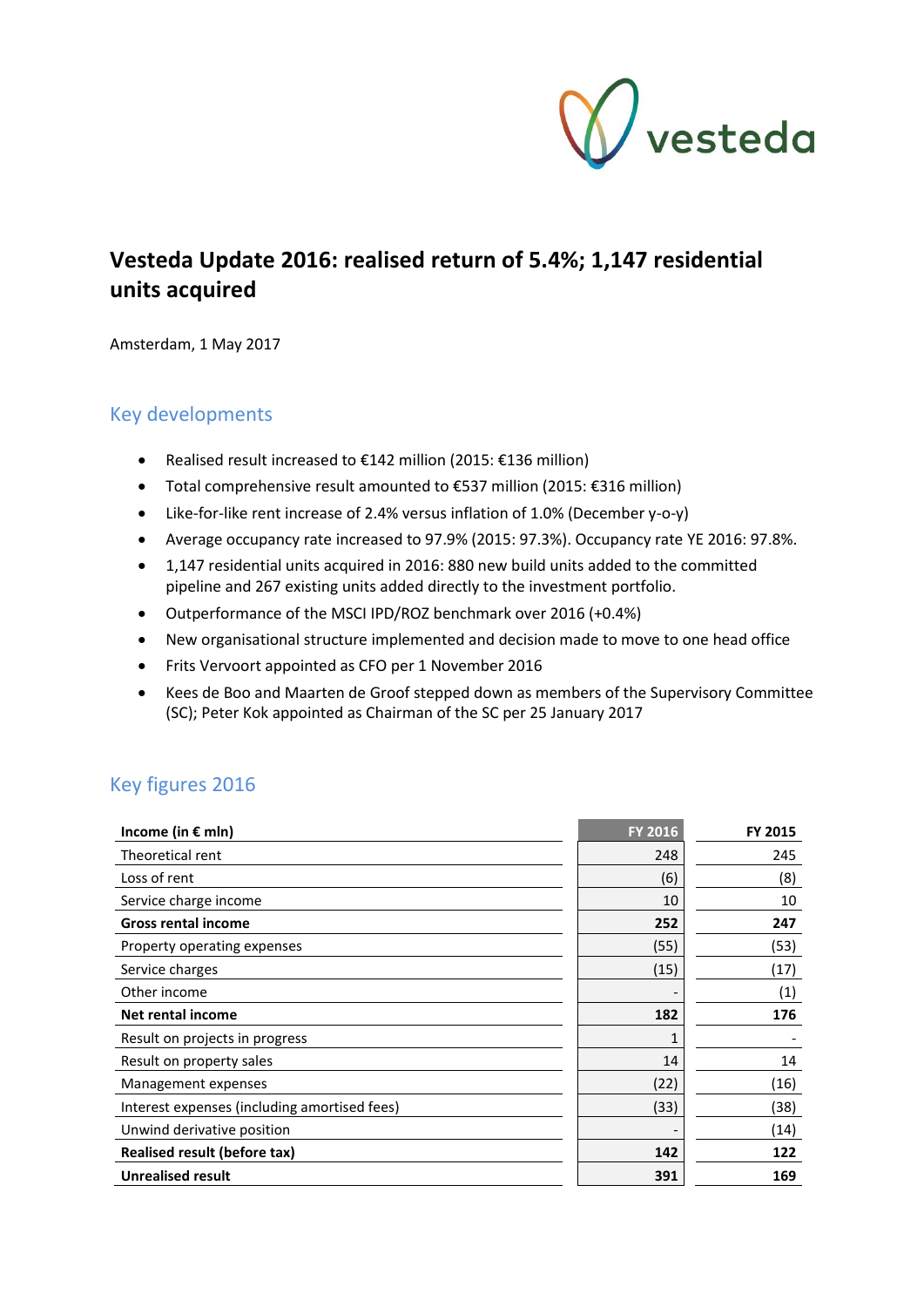

# **Vesteda Update 2016: realised return of 5.4%; 1,147 residential units acquired**

Amsterdam, 1 May 2017

# Key developments

- Realised result increased to  $€142$  million (2015:  $€136$  million)
- Total comprehensive result amounted to €537 million (2015: €316 million)
- Like-for-like rent increase of 2.4% versus inflation of 1.0% (December y-o-y)
- Average occupancy rate increased to 97.9% (2015: 97.3%). Occupancy rate YE 2016: 97.8%.
- 1,147 residential units acquired in 2016: 880 new build units added to the committed pipeline and 267 existing units added directly to the investment portfolio.
- Outperformance of the MSCI IPD/ROZ benchmark over 2016 (+0.4%)
- New organisational structure implemented and decision made to move to one head office
- Frits Vervoort appointed as CFO per 1 November 2016
- Kees de Boo and Maarten de Groof stepped down as members of the Supervisory Committee (SC); Peter Kok appointed as Chairman of the SC per 25 January 2017

# Key figures 2016

| Income (in € mln)                            | <b>FY 2016</b> | FY 2015 |
|----------------------------------------------|----------------|---------|
| Theoretical rent                             | 248            | 245     |
| Loss of rent                                 | (6)            | (8)     |
| Service charge income                        | 10             | 10      |
| <b>Gross rental income</b>                   | 252            | 247     |
| Property operating expenses                  | (55)           | (53)    |
| Service charges                              | (15)           | (17)    |
| Other income                                 |                | (1)     |
| Net rental income                            | 182            | 176     |
| Result on projects in progress               |                |         |
| Result on property sales                     | 14             | 14      |
| Management expenses                          | (22)           | (16)    |
| Interest expenses (including amortised fees) | (33)           | (38)    |
| Unwind derivative position                   |                | (14)    |
| Realised result (before tax)                 | 142            | 122     |
| <b>Unrealised result</b>                     | 391            | 169     |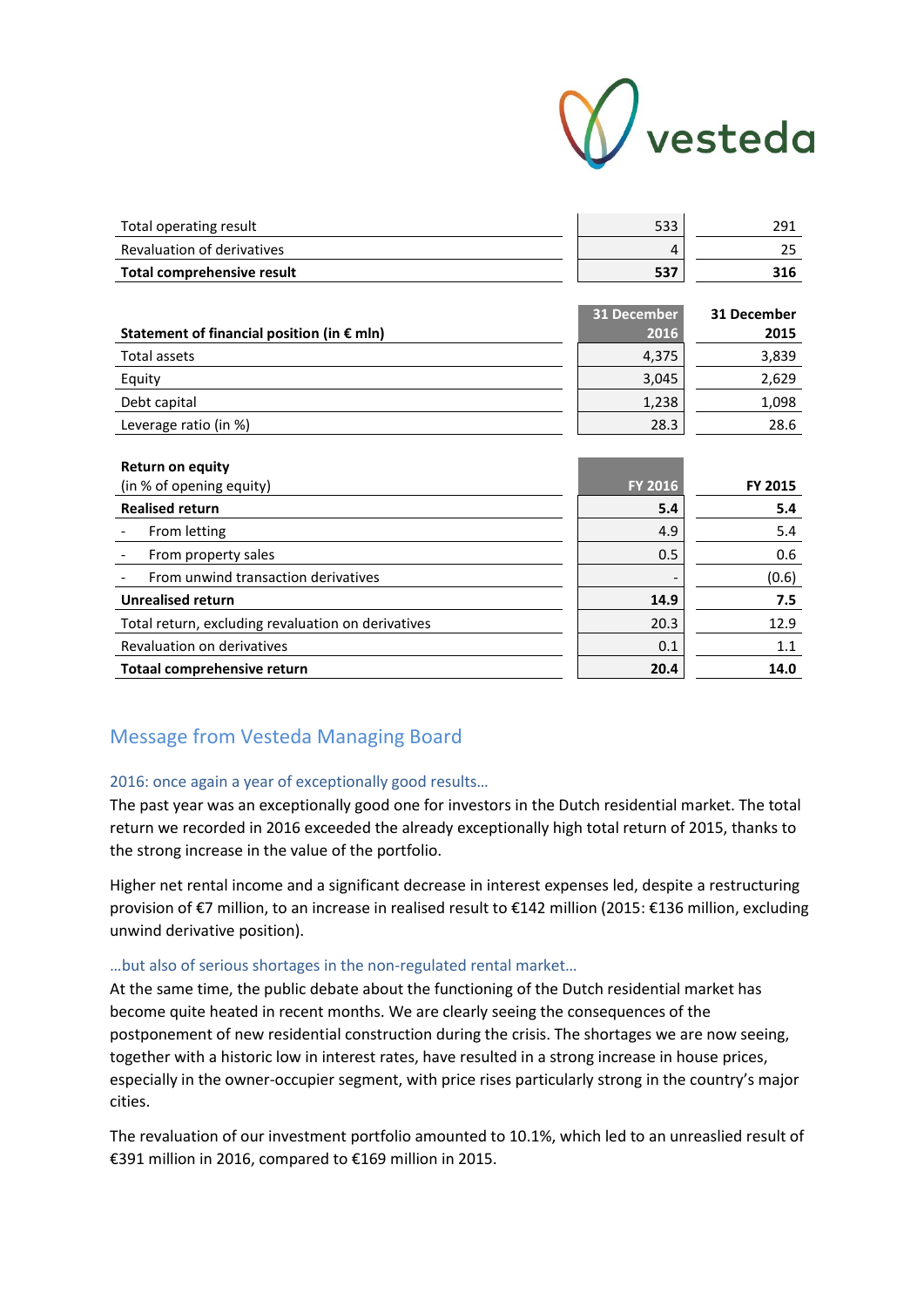

| Total operating result            | 533 | 291 |
|-----------------------------------|-----|-----|
| <b>Revaluation of derivatives</b> |     |     |
| Total comprehensive result        | 537 | 316 |

| Statement of financial position (in $\epsilon$ mln) | 31 December<br>2016 | 31 December<br>2015 |
|-----------------------------------------------------|---------------------|---------------------|
| Total assets                                        | 4,375               | 3,839               |
| Equity                                              | 3,045               | 2,629               |
| Debt capital                                        | 1,238               | 1,098               |
| Leverage ratio (in %)                               | 28.3                | 28.6                |

| <b>Return on equity</b>                            |                |                |
|----------------------------------------------------|----------------|----------------|
| (in % of opening equity)                           | <b>FY 2016</b> | <b>FY 2015</b> |
| <b>Realised return</b>                             | 5.4            | 5.4            |
| From letting                                       | 4.9            | 5.4            |
| From property sales                                | 0.5            | 0.6            |
| From unwind transaction derivatives                |                | (0.6)          |
| <b>Unrealised return</b>                           | 14.9           | 7.5            |
| Total return, excluding revaluation on derivatives | 20.3           | 12.9           |
| Revaluation on derivatives                         | 0.1            | 1.1            |
| Totaal comprehensive return                        | 20.4           | 14.0           |

# Message from Vesteda Managing Board

## 2016: once again a year of exceptionally good results…

The past year was an exceptionally good one for investors in the Dutch residential market. The total return we recorded in 2016 exceeded the already exceptionally high total return of 2015, thanks to the strong increase in the value of the portfolio.

Higher net rental income and a significant decrease in interest expenses led, despite a restructuring provision of €7 million, to an increase in realised result to €142 million (2015: €136 million, excluding unwind derivative position).

#### …but also of serious shortages in the non-regulated rental market…

At the same time, the public debate about the functioning of the Dutch residential market has become quite heated in recent months. We are clearly seeing the consequences of the postponement of new residential construction during the crisis. The shortages we are now seeing, together with a historic low in interest rates, have resulted in a strong increase in house prices, especially in the owner-occupier segment, with price rises particularly strong in the country's major cities.

The revaluation of our investment portfolio amounted to 10.1%, which led to an unreaslied result of €391 million in 2016, compared to €169 million in 2015.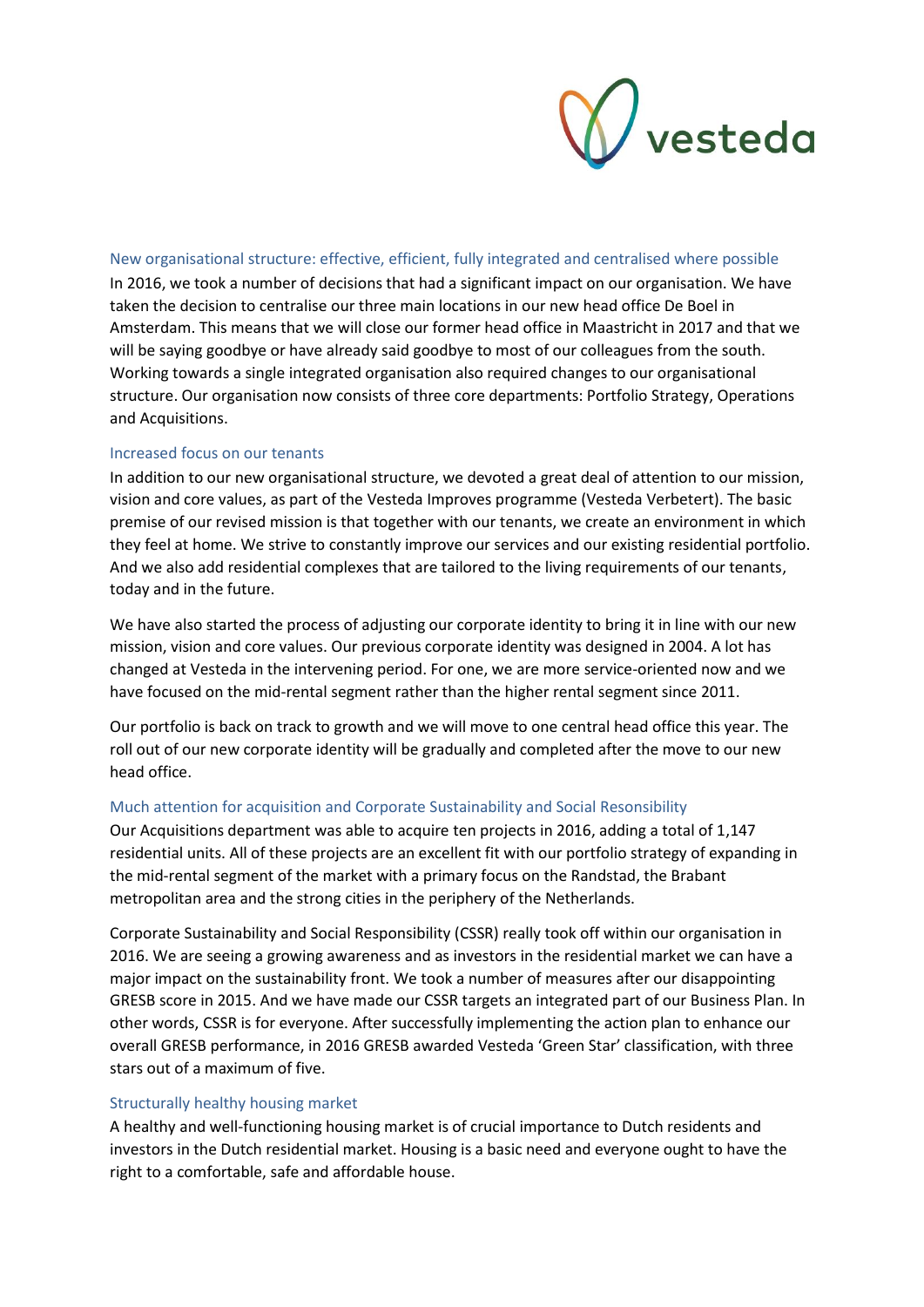

#### New organisational structure: effective, efficient, fully integrated and centralised where possible

In 2016, we took a number of decisions that had a significant impact on our organisation. We have taken the decision to centralise our three main locations in our new head office De Boel in Amsterdam. This means that we will close our former head office in Maastricht in 2017 and that we will be saying goodbye or have already said goodbye to most of our colleagues from the south. Working towards a single integrated organisation also required changes to our organisational structure. Our organisation now consists of three core departments: Portfolio Strategy, Operations and Acquisitions.

#### Increased focus on our tenants

In addition to our new organisational structure, we devoted a great deal of attention to our mission, vision and core values, as part of the Vesteda Improves programme (Vesteda Verbetert). The basic premise of our revised mission is that together with our tenants, we create an environment in which they feel at home. We strive to constantly improve our services and our existing residential portfolio. And we also add residential complexes that are tailored to the living requirements of our tenants, today and in the future.

We have also started the process of adjusting our corporate identity to bring it in line with our new mission, vision and core values. Our previous corporate identity was designed in 2004. A lot has changed at Vesteda in the intervening period. For one, we are more service-oriented now and we have focused on the mid-rental segment rather than the higher rental segment since 2011.

Our portfolio is back on track to growth and we will move to one central head office this year. The roll out of our new corporate identity will be gradually and completed after the move to our new head office.

## Much attention for acquisition and Corporate Sustainability and Social Resonsibility

Our Acquisitions department was able to acquire ten projects in 2016, adding a total of 1,147 residential units. All of these projects are an excellent fit with our portfolio strategy of expanding in the mid-rental segment of the market with a primary focus on the Randstad, the Brabant metropolitan area and the strong cities in the periphery of the Netherlands.

Corporate Sustainability and Social Responsibility (CSSR) really took off within our organisation in 2016. We are seeing a growing awareness and as investors in the residential market we can have a major impact on the sustainability front. We took a number of measures after our disappointing GRESB score in 2015. And we have made our CSSR targets an integrated part of our Business Plan. In other words, CSSR is for everyone. After successfully implementing the action plan to enhance our overall GRESB performance, in 2016 GRESB awarded Vesteda 'Green Star' classification, with three stars out of a maximum of five.

## Structurally healthy housing market

A healthy and well-functioning housing market is of crucial importance to Dutch residents and investors in the Dutch residential market. Housing is a basic need and everyone ought to have the right to a comfortable, safe and affordable house.